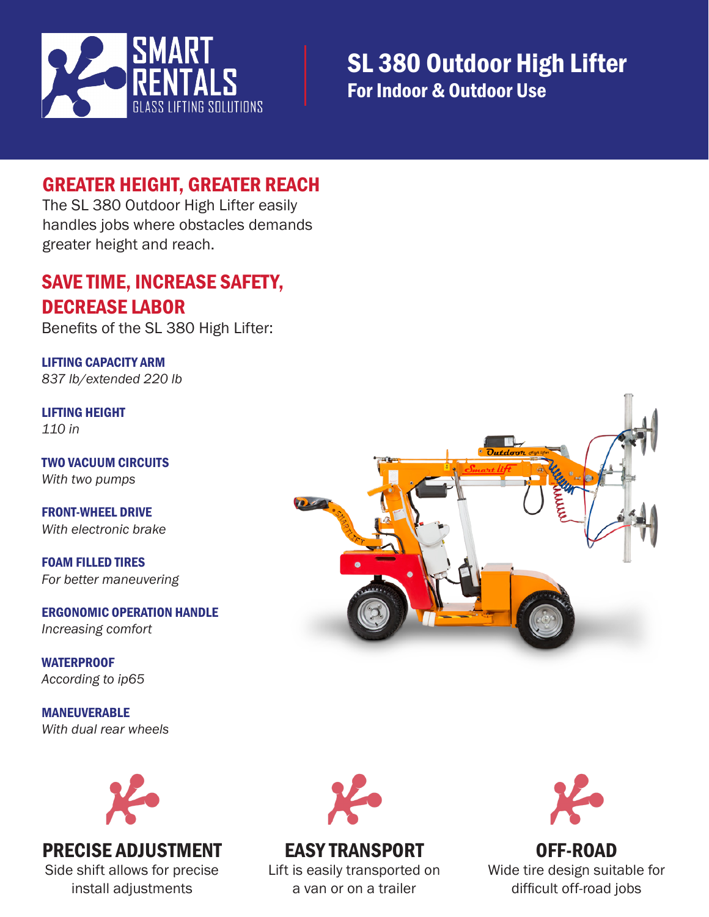

### GREATER HEIGHT, GREATER REACH

The SL 380 Outdoor High Lifter easily handles jobs where obstacles demands greater height and reach.

#### SAVE TIME, INCREASE SAFETY, DECREASE LABOR

Benefits of the SL 380 High Lifter:

LIFTING CAPACITY ARM *837 lb/extended 220 lb*

LIFTING HEIGHT *110 in*

TWO VACUUM CIRCUITS *With two pumps*

FRONT-WHEEL DRIVE *With electronic brake*

FOAM FILLED TIRES *For better maneuvering*

ERGONOMIC OPERATION HANDLE *Increasing comfort*

**WATERPROOF** *According to ip65*

MANEUVERABLE *With dual rear wheels*



#### PRECISE ADJUSTMENT Side shift allows for precise

install adjustments



## EASY TRANSPORT

Lift is easily transported on a van or on a trailer



OFF-ROAD Wide tire design suitable for difficult off-road jobs